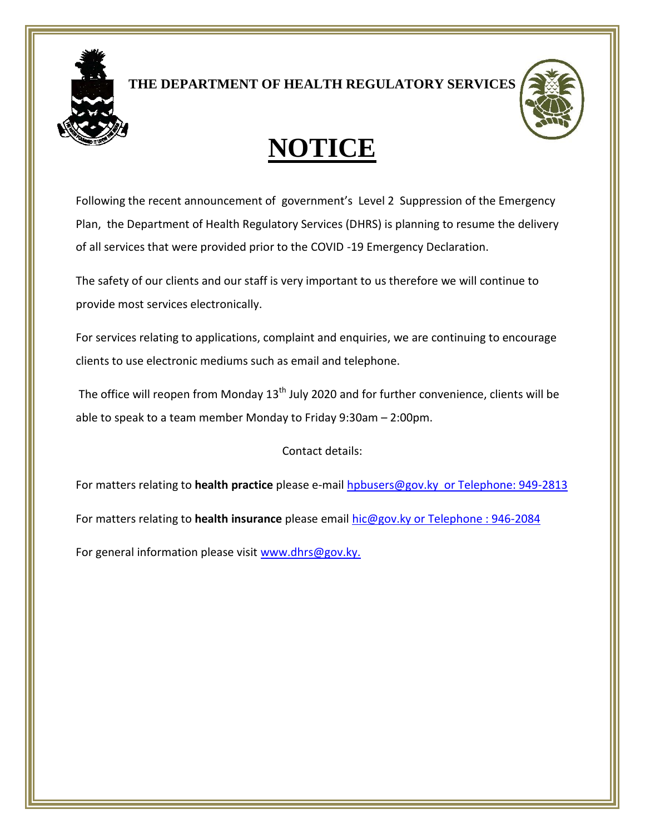

## **THE DEPARTMENT OF HEALTH REGULATORY SERVICES**



## **NOTICE**

Following the recent announcement of government's Level 2 Suppression of the Emergency Plan, the Department of Health Regulatory Services (DHRS) is planning to resume the delivery of all services that were provided prior to the COVID -19 Emergency Declaration.

The safety of our clients and our staff is very important to us therefore we will continue to provide most services electronically.

For services relating to applications, complaint and enquiries, we are continuing to encourage clients to use electronic mediums such as email and telephone.

The office will reopen from Monday 13<sup>th</sup> July 2020 and for further convenience, clients will be able to speak to a team member Monday to Friday 9:30am – 2:00pm.

Contact details:

For matters relating to **health practice** please e-mail [hpbusers@gov.ky](mailto:hpbusers@gov.ky) or Telephone: 949-2813

For matters relating to **health insurance** please email [hic@gov.ky](mailto:hic@gov.ky) or Telephone : 946-2084

For general information please visit [www.dhrs@gov.ky.](http://www.dhrs@gov.ky/)